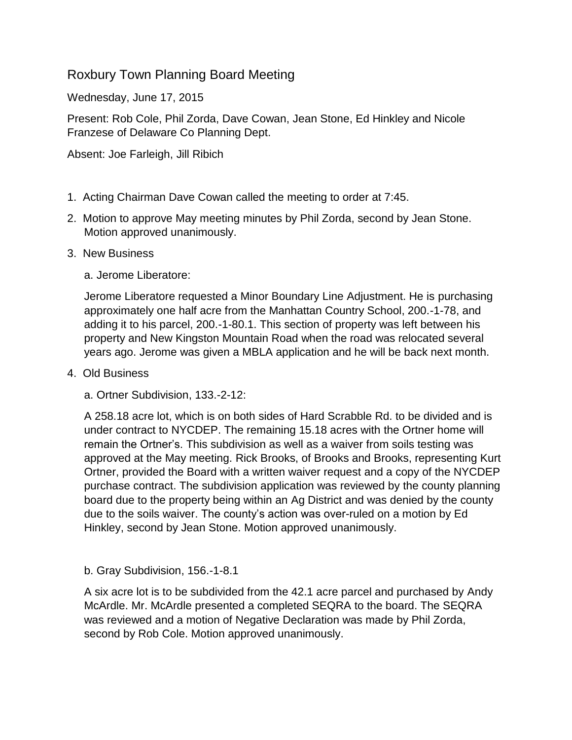## Roxbury Town Planning Board Meeting

Wednesday, June 17, 2015

Present: Rob Cole, Phil Zorda, Dave Cowan, Jean Stone, Ed Hinkley and Nicole Franzese of Delaware Co Planning Dept.

Absent: Joe Farleigh, Jill Ribich

- 1. Acting Chairman Dave Cowan called the meeting to order at 7:45.
- 2. Motion to approve May meeting minutes by Phil Zorda, second by Jean Stone. Motion approved unanimously.
- 3. New Business

a. Jerome Liberatore:

Jerome Liberatore requested a Minor Boundary Line Adjustment. He is purchasing approximately one half acre from the Manhattan Country School, 200.-1-78, and adding it to his parcel, 200.-1-80.1. This section of property was left between his property and New Kingston Mountain Road when the road was relocated several years ago. Jerome was given a MBLA application and he will be back next month.

- 4. Old Business
	- a. Ortner Subdivision, 133.-2-12:

A 258.18 acre lot, which is on both sides of Hard Scrabble Rd. to be divided and is under contract to NYCDEP. The remaining 15.18 acres with the Ortner home will remain the Ortner's. This subdivision as well as a waiver from soils testing was approved at the May meeting. Rick Brooks, of Brooks and Brooks, representing Kurt Ortner, provided the Board with a written waiver request and a copy of the NYCDEP purchase contract. The subdivision application was reviewed by the county planning board due to the property being within an Ag District and was denied by the county due to the soils waiver. The county's action was over-ruled on a motion by Ed Hinkley, second by Jean Stone. Motion approved unanimously.

b. Gray Subdivision, 156.-1-8.1

A six acre lot is to be subdivided from the 42.1 acre parcel and purchased by Andy McArdle. Mr. McArdle presented a completed SEQRA to the board. The SEQRA was reviewed and a motion of Negative Declaration was made by Phil Zorda, second by Rob Cole. Motion approved unanimously.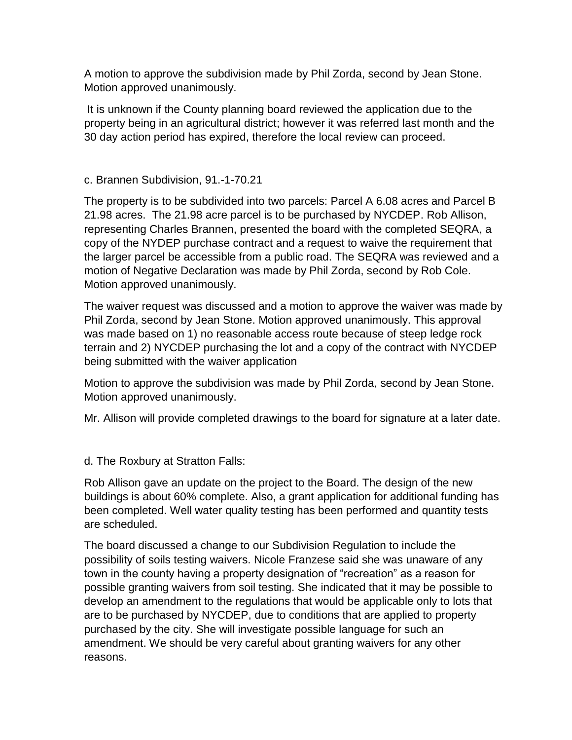A motion to approve the subdivision made by Phil Zorda, second by Jean Stone. Motion approved unanimously.

It is unknown if the County planning board reviewed the application due to the property being in an agricultural district; however it was referred last month and the 30 day action period has expired, therefore the local review can proceed.

## c. Brannen Subdivision, 91.-1-70.21

The property is to be subdivided into two parcels: Parcel A 6.08 acres and Parcel B 21.98 acres. The 21.98 acre parcel is to be purchased by NYCDEP. Rob Allison, representing Charles Brannen, presented the board with the completed SEQRA, a copy of the NYDEP purchase contract and a request to waive the requirement that the larger parcel be accessible from a public road. The SEQRA was reviewed and a motion of Negative Declaration was made by Phil Zorda, second by Rob Cole. Motion approved unanimously.

The waiver request was discussed and a motion to approve the waiver was made by Phil Zorda, second by Jean Stone. Motion approved unanimously. This approval was made based on 1) no reasonable access route because of steep ledge rock terrain and 2) NYCDEP purchasing the lot and a copy of the contract with NYCDEP being submitted with the waiver application

Motion to approve the subdivision was made by Phil Zorda, second by Jean Stone. Motion approved unanimously.

Mr. Allison will provide completed drawings to the board for signature at a later date.

d. The Roxbury at Stratton Falls:

Rob Allison gave an update on the project to the Board. The design of the new buildings is about 60% complete. Also, a grant application for additional funding has been completed. Well water quality testing has been performed and quantity tests are scheduled.

The board discussed a change to our Subdivision Regulation to include the possibility of soils testing waivers. Nicole Franzese said she was unaware of any town in the county having a property designation of "recreation" as a reason for possible granting waivers from soil testing. She indicated that it may be possible to develop an amendment to the regulations that would be applicable only to lots that are to be purchased by NYCDEP, due to conditions that are applied to property purchased by the city. She will investigate possible language for such an amendment. We should be very careful about granting waivers for any other reasons.